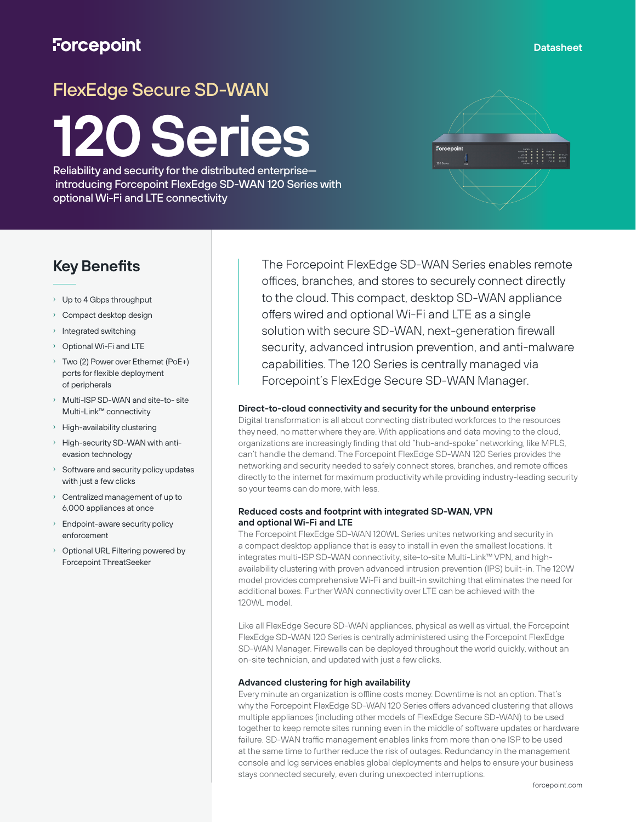## **Forcepoint**

#### **Datasheet**

# FlexEdge Secure SD-WAN

# **120 Series**

Reliability and security for the distributed enterprise introducing Forcepoint FlexEdge SD-WAN 120 Series with optional Wi-Fi and LTE connectivity



### **Key Benefits**

- › Up to 4 Gbps throughput
- › Compact desktop design
- › Integrated switching
- › Optional Wi-Fi and LTE
- › Two (2) Power over Ethernet (PoE+) ports for flexible deployment of peripherals
- Multi-ISP SD-WAN and site-to- site Multi-Link™ connectivity
- › High-availability clustering
- High-security SD-WAN with antievasion technology
- Software and security policy updates with just a few clicks
- › Centralized management of up to 6,000 appliances at once
- Endpoint-aware security policy enforcement
- Optional URL Filtering powered by Forcepoint ThreatSeeker

The Forcepoint FlexEdge SD-WAN Series enables remote offices, branches, and stores to securely connect directly to the cloud. This compact, desktop SD-WAN appliance offers wired and optional Wi-Fi and LTE as a single solution with secure SD-WAN, next-generation firewall security, advanced intrusion prevention, and anti-malware capabilities. The 120 Series is centrally managed via Forcepoint's FlexEdge Secure SD-WAN Manager.

#### **Direct-to-cloud connectivity and security for the unbound enterprise**

Digital transformation is all about connecting distributed workforces to the resources they need, no matter where they are. With applications and data moving to the cloud, organizations are increasingly finding that old "hub-and-spoke" networking, like MPLS, can't handle the demand. The Forcepoint FlexEdge SD-WAN 120 Series provides the networking and security needed to safely connect stores, branches, and remote offices directly to the internet for maximum productivity while providing industry-leading security so your teams can do more, with less.

#### **Reduced costs and footprint with integrated SD-WAN, VPN and optional Wi-Fi and LTE**

The Forcepoint FlexEdge SD-WAN 120WL Series unites networking and security in a compact desktop appliance that is easy to install in even the smallest locations. It integrates multi-ISP SD-WAN connectivity, site-to-site Multi-Link™ VPN, and highavailability clustering with proven advanced intrusion prevention (IPS) built-in. The 120W model provides comprehensive Wi-Fi and built-in switching that eliminates the need for additional boxes. Further WAN connectivity over LTE can be achieved with the 120WL model.

Like all FlexEdge Secure SD-WAN appliances, physical as well as virtual, the Forcepoint FlexEdge SD-WAN 120 Series is centrally administered using the Forcepoint FlexEdge SD-WAN Manager. Firewalls can be deployed throughout the world quickly, without an on-site technician, and updated with just a few clicks.

#### **Advanced clustering for high availability**

Every minute an organization is offline costs money. Downtime is not an option. That's why the Forcepoint FlexEdge SD-WAN 120 Series offers advanced clustering that allows multiple appliances (including other models of FlexEdge Secure SD-WAN) to be used together to keep remote sites running even in the middle of software updates or hardware failure. SD-WAN traffic management enables links from more than one ISP to be used at the same time to further reduce the risk of outages. Redundancy in the management console and log services enables global deployments and helps to ensure your business stays connected securely, even during unexpected interruptions.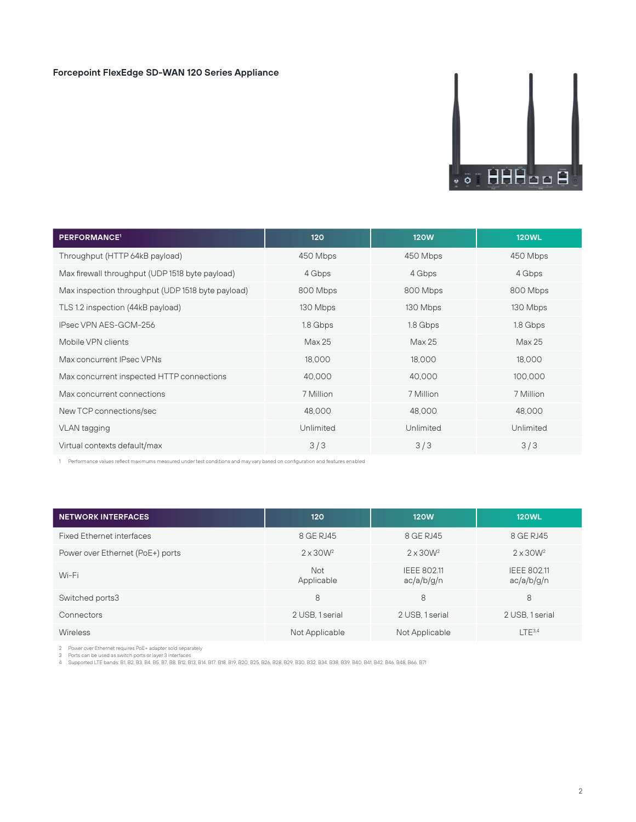#### **Forcepoint FlexEdge SD-WAN 120 Series Appliance**



| <b>PERFORMANCE<sup>1</sup></b>                    | 120       | <b>120W</b> | <b>120WL</b> |
|---------------------------------------------------|-----------|-------------|--------------|
| Throughput (HTTP 64kB payload)                    | 450 Mbps  | 450 Mbps    | 450 Mbps     |
| Max firewall throughput (UDP 1518 byte payload)   | 4 Gbps    | 4 Gbps      | 4 Gbps       |
| Max inspection throughput (UDP 1518 byte payload) | 800 Mbps  | 800 Mbps    | 800 Mbps     |
| TLS 1.2 inspection (44kB payload)                 | 130 Mbps  | 130 Mbps    | 130 Mbps     |
| IPsec VPN AES-GCM-256                             | 1.8 Gbps  | 1.8 Gbps    | 1.8 Gbps     |
| Mobile VPN clients                                | Max 25    | Max 25      | Max 25       |
| Max concurrent IPsec VPNs                         | 18,000    | 18,000      | 18,000       |
| Max concurrent inspected HTTP connections         | 40,000    | 40,000      | 100,000      |
| Max concurrent connections                        | 7 Million | 7 Million   | 7 Million    |
| New TCP connections/sec                           | 48,000    | 48,000      | 48,000       |
| VLAN tagging                                      | Unlimited | Unlimited   | Unlimited    |
| Virtual contexts default/max                      | 3/3       | 3/3         | 3/3          |

1 Performance values reflect maximums measured under test conditions and may vary based on configuration and features enabled

| <b>NETWORK INTERFACES</b>        | 120                      | <b>120W</b>                      | <b>120WL</b>                     |
|----------------------------------|--------------------------|----------------------------------|----------------------------------|
| <b>Fixed Ethernet interfaces</b> | 8 GE RJ45                | 8 GE RJ45                        | 8 GE RJ45                        |
| Power over Ethernet (PoE+) ports | $2 \times 30W^2$         | $2 \times 30W^2$                 | $2 \times 30W^2$                 |
| Wi-Fi                            | <b>Not</b><br>Applicable | <b>IEEE 802.11</b><br>ac/a/b/g/n | <b>IEEE 802.11</b><br>ac/a/b/g/n |
| Switched ports3                  | 8                        | 8                                | 8                                |
| Connectors                       | 2 USB, 1 serial          | 2 USB, 1 serial                  | 2 USB, 1 serial                  |
| Wireless                         | Not Applicable           | Not Applicable                   | $LTE^{3.4}$                      |

2 – Power over Ethernet requires PoE+ adapter sold separately<br>3 – Ports can be used as switch ports or layer 3 interfaces<br>4 – Supported LTE bands: B1, B2, B3, B4, B5, B7, B8, B12, B13, B13, B13, B19, B20, B26, B28, B29, B3